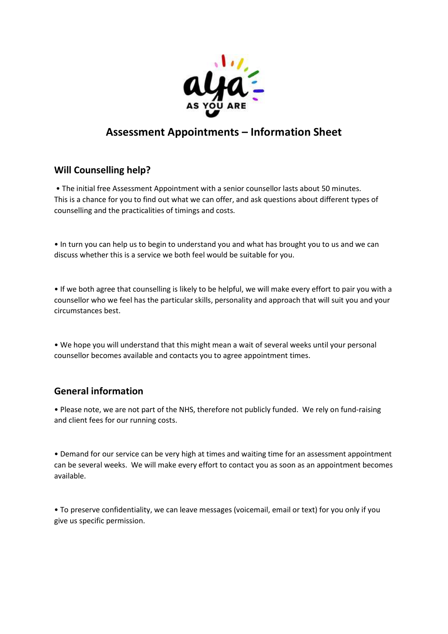

## Assessment Appointments – Information Sheet

## Will Counselling help?

 • The initial free Assessment Appointment with a senior counsellor lasts about 50 minutes. This is a chance for you to find out what we can offer, and ask questions about different types of counselling and the practicalities of timings and costs.

• In turn you can help us to begin to understand you and what has brought you to us and we can discuss whether this is a service we both feel would be suitable for you.

• If we both agree that counselling is likely to be helpful, we will make every effort to pair you with a counsellor who we feel has the particular skills, personality and approach that will suit you and your circumstances best.

• We hope you will understand that this might mean a wait of several weeks until your personal counsellor becomes available and contacts you to agree appointment times.

## General information

• Please note, we are not part of the NHS, therefore not publicly funded. We rely on fund-raising and client fees for our running costs.

• Demand for our service can be very high at times and waiting time for an assessment appointment can be several weeks. We will make every effort to contact you as soon as an appointment becomes available.

• To preserve confidentiality, we can leave messages (voicemail, email or text) for you only if you give us specific permission.